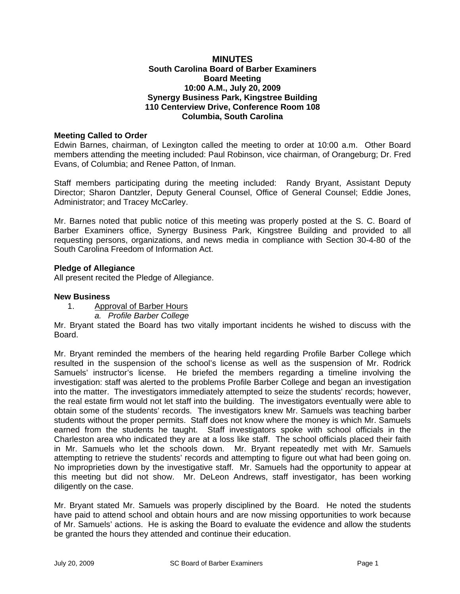## **MINUTES South Carolina Board of Barber Examiners Board Meeting 10:00 A.M., July 20, 2009 Synergy Business Park, Kingstree Building 110 Centerview Drive, Conference Room 108 Columbia, South Carolina**

### **Meeting Called to Order**

Edwin Barnes, chairman, of Lexington called the meeting to order at 10:00 a.m. Other Board members attending the meeting included: Paul Robinson, vice chairman, of Orangeburg; Dr. Fred Evans, of Columbia; and Renee Patton, of Inman.

Staff members participating during the meeting included: Randy Bryant, Assistant Deputy Director; Sharon Dantzler, Deputy General Counsel, Office of General Counsel; Eddie Jones, Administrator; and Tracey McCarley.

Mr. Barnes noted that public notice of this meeting was properly posted at the S. C. Board of Barber Examiners office, Synergy Business Park, Kingstree Building and provided to all requesting persons, organizations, and news media in compliance with Section 30-4-80 of the South Carolina Freedom of Information Act.

### **Pledge of Allegiance**

All present recited the Pledge of Allegiance.

#### **New Business**

- 1. Approval of Barber Hours
	- *a. Profile Barber College*

Mr. Bryant stated the Board has two vitally important incidents he wished to discuss with the Board.

Mr. Bryant reminded the members of the hearing held regarding Profile Barber College which resulted in the suspension of the school's license as well as the suspension of Mr. Rodrick Samuels' instructor's license. He briefed the members regarding a timeline involving the investigation: staff was alerted to the problems Profile Barber College and began an investigation into the matter. The investigators immediately attempted to seize the students' records; however, the real estate firm would not let staff into the building. The investigators eventually were able to obtain some of the students' records. The investigators knew Mr. Samuels was teaching barber students without the proper permits. Staff does not know where the money is which Mr. Samuels earned from the students he taught. Staff investigators spoke with school officials in the Charleston area who indicated they are at a loss like staff. The school officials placed their faith in Mr. Samuels who let the schools down. Mr. Bryant repeatedly met with Mr. Samuels attempting to retrieve the students' records and attempting to figure out what had been going on. No improprieties down by the investigative staff. Mr. Samuels had the opportunity to appear at this meeting but did not show. Mr. DeLeon Andrews, staff investigator, has been working diligently on the case.

Mr. Bryant stated Mr. Samuels was properly disciplined by the Board. He noted the students have paid to attend school and obtain hours and are now missing opportunities to work because of Mr. Samuels' actions. He is asking the Board to evaluate the evidence and allow the students be granted the hours they attended and continue their education.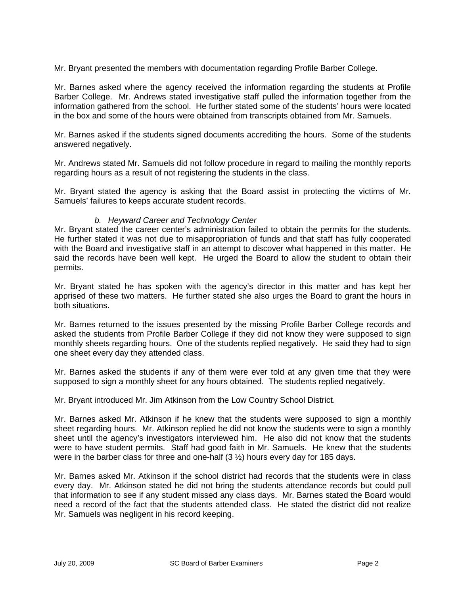Mr. Bryant presented the members with documentation regarding Profile Barber College.

Mr. Barnes asked where the agency received the information regarding the students at Profile Barber College. Mr. Andrews stated investigative staff pulled the information together from the information gathered from the school. He further stated some of the students' hours were located in the box and some of the hours were obtained from transcripts obtained from Mr. Samuels.

Mr. Barnes asked if the students signed documents accrediting the hours. Some of the students answered negatively.

Mr. Andrews stated Mr. Samuels did not follow procedure in regard to mailing the monthly reports regarding hours as a result of not registering the students in the class.

Mr. Bryant stated the agency is asking that the Board assist in protecting the victims of Mr. Samuels' failures to keeps accurate student records.

### *b. Heyward Career and Technology Center*

Mr. Bryant stated the career center's administration failed to obtain the permits for the students. He further stated it was not due to misappropriation of funds and that staff has fully cooperated with the Board and investigative staff in an attempt to discover what happened in this matter. He said the records have been well kept. He urged the Board to allow the student to obtain their permits.

Mr. Bryant stated he has spoken with the agency's director in this matter and has kept her apprised of these two matters. He further stated she also urges the Board to grant the hours in both situations.

Mr. Barnes returned to the issues presented by the missing Profile Barber College records and asked the students from Profile Barber College if they did not know they were supposed to sign monthly sheets regarding hours. One of the students replied negatively. He said they had to sign one sheet every day they attended class.

Mr. Barnes asked the students if any of them were ever told at any given time that they were supposed to sign a monthly sheet for any hours obtained. The students replied negatively.

Mr. Bryant introduced Mr. Jim Atkinson from the Low Country School District.

Mr. Barnes asked Mr. Atkinson if he knew that the students were supposed to sign a monthly sheet regarding hours. Mr. Atkinson replied he did not know the students were to sign a monthly sheet until the agency's investigators interviewed him. He also did not know that the students were to have student permits. Staff had good faith in Mr. Samuels. He knew that the students were in the barber class for three and one-half  $(3  $\frac{1}{2}$ ) hours every day for 185 days.$ 

Mr. Barnes asked Mr. Atkinson if the school district had records that the students were in class every day. Mr. Atkinson stated he did not bring the students attendance records but could pull that information to see if any student missed any class days. Mr. Barnes stated the Board would need a record of the fact that the students attended class. He stated the district did not realize Mr. Samuels was negligent in his record keeping.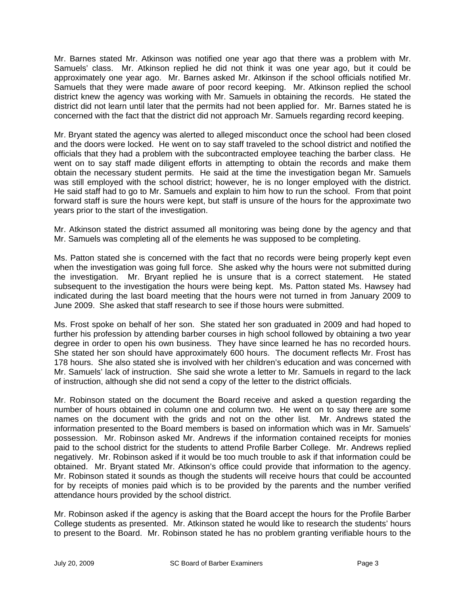Mr. Barnes stated Mr. Atkinson was notified one year ago that there was a problem with Mr. Samuels' class. Mr. Atkinson replied he did not think it was one year ago, but it could be approximately one year ago. Mr. Barnes asked Mr. Atkinson if the school officials notified Mr. Samuels that they were made aware of poor record keeping. Mr. Atkinson replied the school district knew the agency was working with Mr. Samuels in obtaining the records. He stated the district did not learn until later that the permits had not been applied for. Mr. Barnes stated he is concerned with the fact that the district did not approach Mr. Samuels regarding record keeping.

Mr. Bryant stated the agency was alerted to alleged misconduct once the school had been closed and the doors were locked. He went on to say staff traveled to the school district and notified the officials that they had a problem with the subcontracted employee teaching the barber class. He went on to say staff made diligent efforts in attempting to obtain the records and make them obtain the necessary student permits. He said at the time the investigation began Mr. Samuels was still employed with the school district; however, he is no longer employed with the district. He said staff had to go to Mr. Samuels and explain to him how to run the school. From that point forward staff is sure the hours were kept, but staff is unsure of the hours for the approximate two years prior to the start of the investigation.

Mr. Atkinson stated the district assumed all monitoring was being done by the agency and that Mr. Samuels was completing all of the elements he was supposed to be completing.

Ms. Patton stated she is concerned with the fact that no records were being properly kept even when the investigation was going full force. She asked why the hours were not submitted during the investigation. Mr. Bryant replied he is unsure that is a correct statement. He stated subsequent to the investigation the hours were being kept. Ms. Patton stated Ms. Hawsey had indicated during the last board meeting that the hours were not turned in from January 2009 to June 2009. She asked that staff research to see if those hours were submitted.

Ms. Frost spoke on behalf of her son. She stated her son graduated in 2009 and had hoped to further his profession by attending barber courses in high school followed by obtaining a two year degree in order to open his own business. They have since learned he has no recorded hours. She stated her son should have approximately 600 hours. The document reflects Mr. Frost has 178 hours. She also stated she is involved with her children's education and was concerned with Mr. Samuels' lack of instruction. She said she wrote a letter to Mr. Samuels in regard to the lack of instruction, although she did not send a copy of the letter to the district officials.

Mr. Robinson stated on the document the Board receive and asked a question regarding the number of hours obtained in column one and column two. He went on to say there are some names on the document with the grids and not on the other list. Mr. Andrews stated the information presented to the Board members is based on information which was in Mr. Samuels' possession. Mr. Robinson asked Mr. Andrews if the information contained receipts for monies paid to the school district for the students to attend Profile Barber College. Mr. Andrews replied negatively. Mr. Robinson asked if it would be too much trouble to ask if that information could be obtained. Mr. Bryant stated Mr. Atkinson's office could provide that information to the agency. Mr. Robinson stated it sounds as though the students will receive hours that could be accounted for by receipts of monies paid which is to be provided by the parents and the number verified attendance hours provided by the school district.

Mr. Robinson asked if the agency is asking that the Board accept the hours for the Profile Barber College students as presented. Mr. Atkinson stated he would like to research the students' hours to present to the Board. Mr. Robinson stated he has no problem granting verifiable hours to the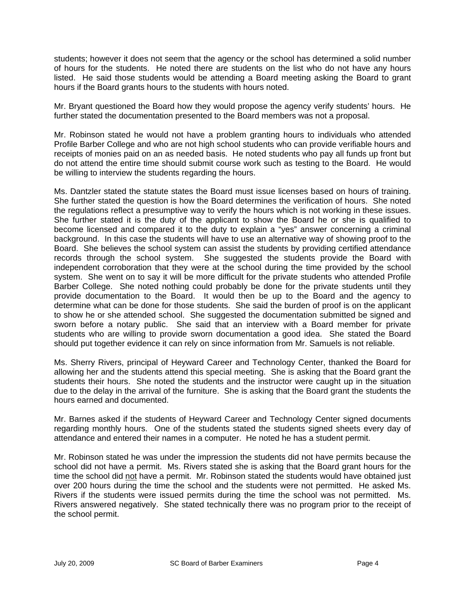students; however it does not seem that the agency or the school has determined a solid number of hours for the students. He noted there are students on the list who do not have any hours listed. He said those students would be attending a Board meeting asking the Board to grant hours if the Board grants hours to the students with hours noted.

Mr. Bryant questioned the Board how they would propose the agency verify students' hours. He further stated the documentation presented to the Board members was not a proposal.

Mr. Robinson stated he would not have a problem granting hours to individuals who attended Profile Barber College and who are not high school students who can provide verifiable hours and receipts of monies paid on an as needed basis. He noted students who pay all funds up front but do not attend the entire time should submit course work such as testing to the Board. He would be willing to interview the students regarding the hours.

Ms. Dantzler stated the statute states the Board must issue licenses based on hours of training. She further stated the question is how the Board determines the verification of hours. She noted the regulations reflect a presumptive way to verify the hours which is not working in these issues. She further stated it is the duty of the applicant to show the Board he or she is qualified to become licensed and compared it to the duty to explain a "yes" answer concerning a criminal background. In this case the students will have to use an alternative way of showing proof to the Board. She believes the school system can assist the students by providing certified attendance records through the school system. She suggested the students provide the Board with independent corroboration that they were at the school during the time provided by the school system. She went on to say it will be more difficult for the private students who attended Profile Barber College. She noted nothing could probably be done for the private students until they provide documentation to the Board. It would then be up to the Board and the agency to determine what can be done for those students. She said the burden of proof is on the applicant to show he or she attended school. She suggested the documentation submitted be signed and sworn before a notary public. She said that an interview with a Board member for private students who are willing to provide sworn documentation a good idea. She stated the Board should put together evidence it can rely on since information from Mr. Samuels is not reliable.

Ms. Sherry Rivers, principal of Heyward Career and Technology Center, thanked the Board for allowing her and the students attend this special meeting. She is asking that the Board grant the students their hours. She noted the students and the instructor were caught up in the situation due to the delay in the arrival of the furniture. She is asking that the Board grant the students the hours earned and documented.

Mr. Barnes asked if the students of Heyward Career and Technology Center signed documents regarding monthly hours. One of the students stated the students signed sheets every day of attendance and entered their names in a computer. He noted he has a student permit.

Mr. Robinson stated he was under the impression the students did not have permits because the school did not have a permit. Ms. Rivers stated she is asking that the Board grant hours for the time the school did not have a permit. Mr. Robinson stated the students would have obtained just over 200 hours during the time the school and the students were not permitted. He asked Ms. Rivers if the students were issued permits during the time the school was not permitted. Ms. Rivers answered negatively. She stated technically there was no program prior to the receipt of the school permit.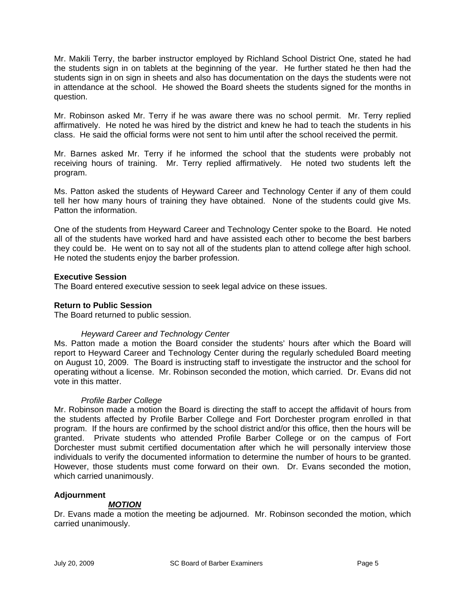Mr. Makili Terry, the barber instructor employed by Richland School District One, stated he had the students sign in on tablets at the beginning of the year. He further stated he then had the students sign in on sign in sheets and also has documentation on the days the students were not in attendance at the school. He showed the Board sheets the students signed for the months in question.

Mr. Robinson asked Mr. Terry if he was aware there was no school permit. Mr. Terry replied affirmatively. He noted he was hired by the district and knew he had to teach the students in his class. He said the official forms were not sent to him until after the school received the permit.

Mr. Barnes asked Mr. Terry if he informed the school that the students were probably not receiving hours of training. Mr. Terry replied affirmatively. He noted two students left the program.

Ms. Patton asked the students of Heyward Career and Technology Center if any of them could tell her how many hours of training they have obtained. None of the students could give Ms. Patton the information.

One of the students from Heyward Career and Technology Center spoke to the Board. He noted all of the students have worked hard and have assisted each other to become the best barbers they could be. He went on to say not all of the students plan to attend college after high school. He noted the students enjoy the barber profession.

# **Executive Session**

The Board entered executive session to seek legal advice on these issues.

### **Return to Public Session**

The Board returned to public session.

### *Heyward Career and Technology Center*

Ms. Patton made a motion the Board consider the students' hours after which the Board will report to Heyward Career and Technology Center during the regularly scheduled Board meeting on August 10, 2009. The Board is instructing staff to investigate the instructor and the school for operating without a license. Mr. Robinson seconded the motion, which carried. Dr. Evans did not vote in this matter.

### *Profile Barber College*

Mr. Robinson made a motion the Board is directing the staff to accept the affidavit of hours from the students affected by Profile Barber College and Fort Dorchester program enrolled in that program. If the hours are confirmed by the school district and/or this office, then the hours will be granted. Private students who attended Profile Barber College or on the campus of Fort Dorchester must submit certified documentation after which he will personally interview those individuals to verify the documented information to determine the number of hours to be granted. However, those students must come forward on their own. Dr. Evans seconded the motion, which carried unanimously.

### **Adjournment**

### *MOTION*

Dr. Evans made a motion the meeting be adjourned. Mr. Robinson seconded the motion, which carried unanimously.